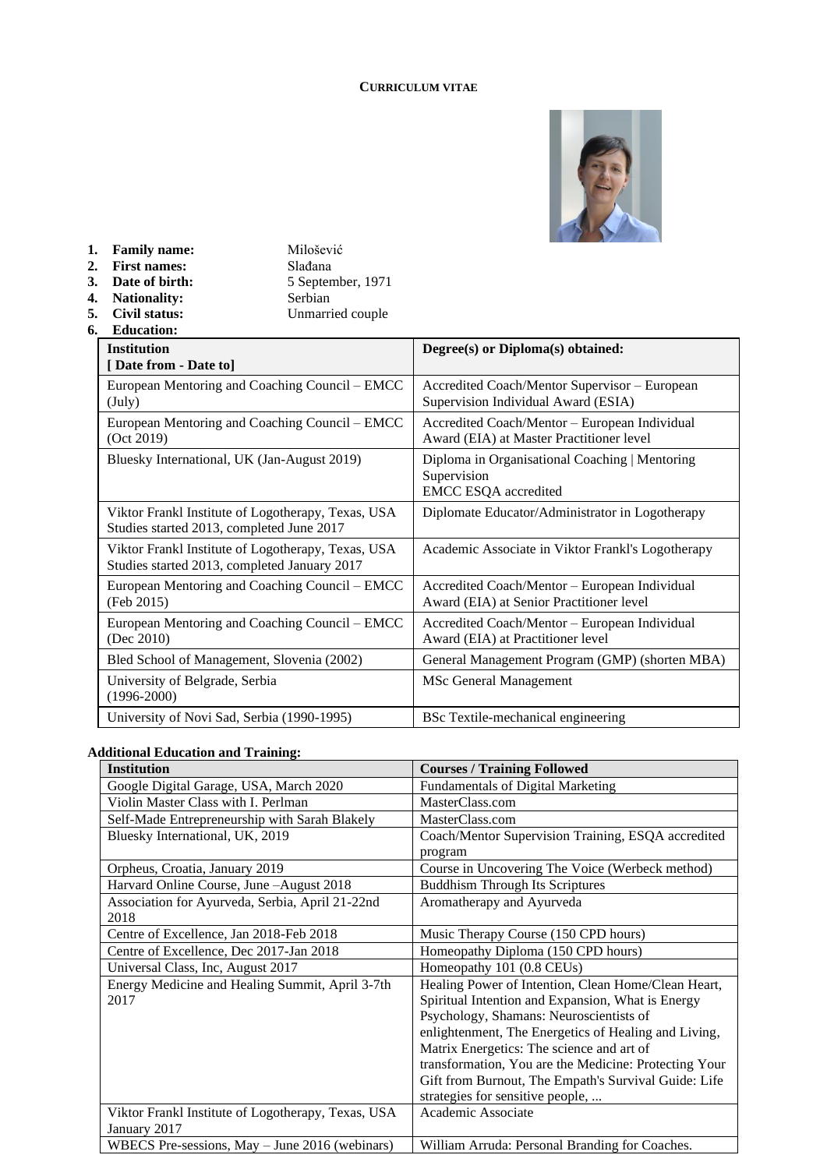### **CURRICULUM VITAE**



- **1. Family name:** Milošević
- **2. First names:** Slađana
- **3. Date of birth:** 5 September, 1971
- 
- **4. Nationality:** Serbian<br> **5. Civil status:** Unmarried couple **5. Civil status:** Unmarried couple

| <b>Education:</b><br>6.                                                                            |                                                                                              |
|----------------------------------------------------------------------------------------------------|----------------------------------------------------------------------------------------------|
| <b>Institution</b><br>[Date from - Date to]                                                        | Degree(s) or Diploma(s) obtained:                                                            |
| European Mentoring and Coaching Council – EMCC<br>$(\mathrm{July})$                                | Accredited Coach/Mentor Supervisor - European<br>Supervision Individual Award (ESIA)         |
| European Mentoring and Coaching Council – EMCC<br>(Oct 2019)                                       | Accredited Coach/Mentor - European Individual<br>Award (EIA) at Master Practitioner level    |
| Bluesky International, UK (Jan-August 2019)                                                        | Diploma in Organisational Coaching   Mentoring<br>Supervision<br><b>EMCC ESQA</b> accredited |
| Viktor Frankl Institute of Logotherapy, Texas, USA<br>Studies started 2013, completed June 2017    | Diplomate Educator/Administrator in Logotherapy                                              |
| Viktor Frankl Institute of Logotherapy, Texas, USA<br>Studies started 2013, completed January 2017 | Academic Associate in Viktor Frankl's Logotherapy                                            |
| European Mentoring and Coaching Council – EMCC<br>(Feb 2015)                                       | Accredited Coach/Mentor - European Individual<br>Award (EIA) at Senior Practitioner level    |
| European Mentoring and Coaching Council – EMCC<br>(Dec 2010)                                       | Accredited Coach/Mentor - European Individual<br>Award (EIA) at Practitioner level           |
| Bled School of Management, Slovenia (2002)                                                         | General Management Program (GMP) (shorten MBA)                                               |
| University of Belgrade, Serbia<br>$(1996 - 2000)$                                                  | MSc General Management                                                                       |
| University of Novi Sad, Serbia (1990-1995)                                                         | BSc Textile-mechanical engineering                                                           |

# **Additional Education and Training:**

| <b>Institution</b>                                      | <b>Courses / Training Followed</b>                            |  |  |
|---------------------------------------------------------|---------------------------------------------------------------|--|--|
| Google Digital Garage, USA, March 2020                  | <b>Fundamentals of Digital Marketing</b>                      |  |  |
| Violin Master Class with I. Perlman                     | MasterClass.com                                               |  |  |
| Self-Made Entrepreneurship with Sarah Blakely           | MasterClass.com                                               |  |  |
| Bluesky International, UK, 2019                         | Coach/Mentor Supervision Training, ESQA accredited<br>program |  |  |
| Orpheus, Croatia, January 2019                          | Course in Uncovering The Voice (Werbeck method)               |  |  |
| Harvard Online Course, June -August 2018                | <b>Buddhism Through Its Scriptures</b>                        |  |  |
| Association for Ayurveda, Serbia, April 21-22nd<br>2018 | Aromatherapy and Ayurveda                                     |  |  |
| Centre of Excellence, Jan 2018-Feb 2018                 | Music Therapy Course (150 CPD hours)                          |  |  |
| Centre of Excellence, Dec 2017-Jan 2018                 | Homeopathy Diploma (150 CPD hours)                            |  |  |
| Universal Class, Inc, August 2017                       | Homeopathy 101 (0.8 CEUs)                                     |  |  |
| Energy Medicine and Healing Summit, April 3-7th         | Healing Power of Intention, Clean Home/Clean Heart,           |  |  |
| 2017                                                    | Spiritual Intention and Expansion, What is Energy             |  |  |
|                                                         | Psychology, Shamans: Neuroscientists of                       |  |  |
|                                                         | enlightenment, The Energetics of Healing and Living,          |  |  |
|                                                         | Matrix Energetics: The science and art of                     |  |  |
|                                                         | transformation, You are the Medicine: Protecting Your         |  |  |
|                                                         | Gift from Burnout, The Empath's Survival Guide: Life          |  |  |
|                                                         | strategies for sensitive people,                              |  |  |
| Viktor Frankl Institute of Logotherapy, Texas, USA      | Academic Associate                                            |  |  |
| January 2017                                            |                                                               |  |  |
| WBECS Pre-sessions, $May - June 2016$ (webinars)        | William Arruda: Personal Branding for Coaches.                |  |  |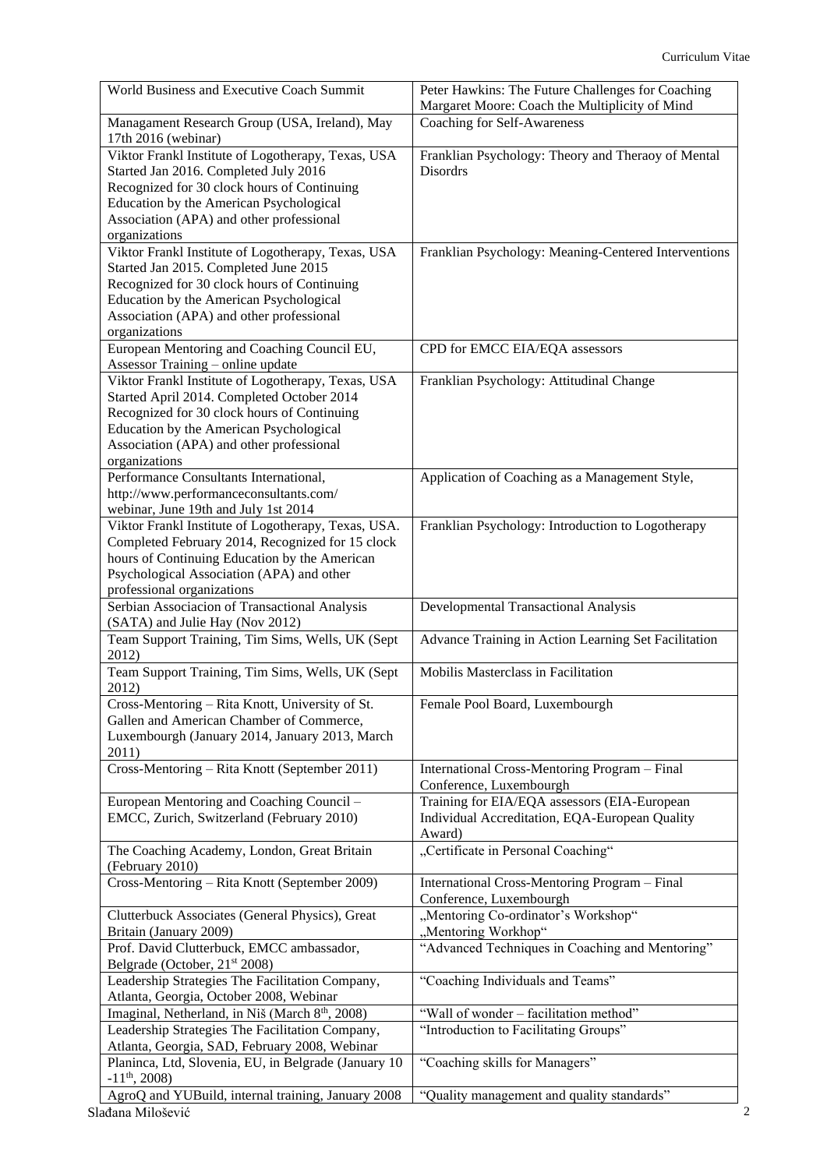| World Business and Executive Coach Summit                                  | Peter Hawkins: The Future Challenges for Coaching    |
|----------------------------------------------------------------------------|------------------------------------------------------|
|                                                                            | Margaret Moore: Coach the Multiplicity of Mind       |
| Managament Research Group (USA, Ireland), May<br>17th 2016 (webinar)       | Coaching for Self-Awareness                          |
| Viktor Frankl Institute of Logotherapy, Texas, USA                         | Franklian Psychology: Theory and Theraoy of Mental   |
| Started Jan 2016. Completed July 2016                                      | <b>Disordrs</b>                                      |
| Recognized for 30 clock hours of Continuing                                |                                                      |
| Education by the American Psychological                                    |                                                      |
| Association (APA) and other professional                                   |                                                      |
| organizations                                                              |                                                      |
| Viktor Frankl Institute of Logotherapy, Texas, USA                         | Franklian Psychology: Meaning-Centered Interventions |
| Started Jan 2015. Completed June 2015                                      |                                                      |
| Recognized for 30 clock hours of Continuing                                |                                                      |
| Education by the American Psychological                                    |                                                      |
| Association (APA) and other professional                                   |                                                      |
| organizations                                                              |                                                      |
| European Mentoring and Coaching Council EU,                                | CPD for EMCC EIA/EQA assessors                       |
| Assessor Training - online update                                          |                                                      |
| Viktor Frankl Institute of Logotherapy, Texas, USA                         | Franklian Psychology: Attitudinal Change             |
| Started April 2014. Completed October 2014                                 |                                                      |
| Recognized for 30 clock hours of Continuing                                |                                                      |
| Education by the American Psychological                                    |                                                      |
| Association (APA) and other professional                                   |                                                      |
| organizations                                                              |                                                      |
| Performance Consultants International,                                     | Application of Coaching as a Management Style,       |
| http://www.performanceconsultants.com/                                     |                                                      |
| webinar, June 19th and July 1st 2014                                       |                                                      |
| Viktor Frankl Institute of Logotherapy, Texas, USA.                        | Franklian Psychology: Introduction to Logotherapy    |
| Completed February 2014, Recognized for 15 clock                           |                                                      |
| hours of Continuing Education by the American                              |                                                      |
| Psychological Association (APA) and other                                  |                                                      |
| professional organizations                                                 |                                                      |
| Serbian Associacion of Transactional Analysis                              | Developmental Transactional Analysis                 |
| (SATA) and Julie Hay (Nov 2012)                                            |                                                      |
| Team Support Training, Tim Sims, Wells, UK (Sept                           | Advance Training in Action Learning Set Facilitation |
| 2012)                                                                      |                                                      |
| Team Support Training, Tim Sims, Wells, UK (Sept                           | Mobilis Masterclass in Facilitation                  |
| 2012)                                                                      |                                                      |
| Cross-Mentoring - Rita Knott, University of St.                            | Female Pool Board, Luxembourgh                       |
| Gallen and American Chamber of Commerce,                                   |                                                      |
| Luxembourgh (January 2014, January 2013, March                             |                                                      |
| 2011)                                                                      |                                                      |
| Cross-Mentoring - Rita Knott (September 2011)                              | International Cross-Mentoring Program - Final        |
|                                                                            | Conference, Luxembourgh                              |
| European Mentoring and Coaching Council -                                  | Training for EIA/EQA assessors (EIA-European         |
| EMCC, Zurich, Switzerland (February 2010)                                  | Individual Accreditation, EQA-European Quality       |
|                                                                            | Award)                                               |
| The Coaching Academy, London, Great Britain                                | "Certificate in Personal Coaching"                   |
| (February 2010)                                                            |                                                      |
| Cross-Mentoring - Rita Knott (September 2009)                              | International Cross-Mentoring Program - Final        |
|                                                                            | Conference, Luxembourgh                              |
| Clutterbuck Associates (General Physics), Great                            | "Mentoring Co-ordinator's Workshop"                  |
| Britain (January 2009)                                                     | "Mentoring Workhop"                                  |
| Prof. David Clutterbuck, EMCC ambassador,                                  | "Advanced Techniques in Coaching and Mentoring"      |
| Belgrade (October, 21 <sup>st</sup> 2008)                                  |                                                      |
| Leadership Strategies The Facilitation Company,                            | "Coaching Individuals and Teams"                     |
| Atlanta, Georgia, October 2008, Webinar                                    |                                                      |
|                                                                            |                                                      |
| Imaginal, Netherland, in Niš (March 8 <sup>th</sup> , 2008)                | "Wall of wonder - facilitation method"               |
| Leadership Strategies The Facilitation Company,                            | "Introduction to Facilitating Groups"                |
| Atlanta, Georgia, SAD, February 2008, Webinar                              |                                                      |
| Planinca, Ltd, Slovenia, EU, in Belgrade (January 10<br>$-11^{th}$ , 2008) | "Coaching skills for Managers"                       |
| AgroQ and YUBuild, internal training, January 2008                         | "Quality management and quality standards"           |
|                                                                            |                                                      |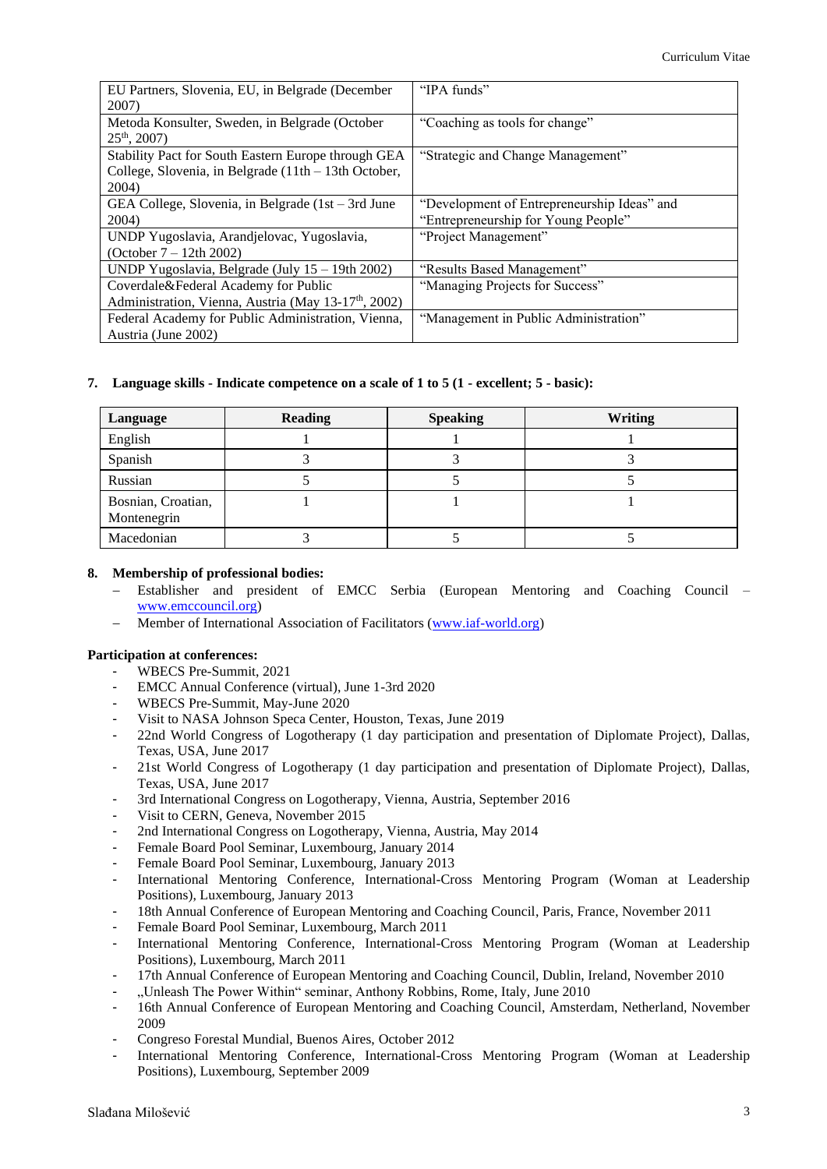| EU Partners, Slovenia, EU, in Belgrade (December<br>2007)                                                           | "IPA funds"                                                                        |
|---------------------------------------------------------------------------------------------------------------------|------------------------------------------------------------------------------------|
| Metoda Konsulter, Sweden, in Belgrade (October<br>$25th$ , 2007)                                                    | "Coaching as tools for change"                                                     |
| Stability Pact for South Eastern Europe through GEA<br>College, Slovenia, in Belgrade (11th – 13th October,<br>2004 | "Strategic and Change Management"                                                  |
| GEA College, Slovenia, in Belgrade $(1st - 3rd$ June<br>2004)                                                       | "Development of Entrepreneurship Ideas" and<br>"Entrepreneurship for Young People" |
| UNDP Yugoslavia, Arandjelovac, Yugoslavia,<br>(October $7 - 12$ th 2002)                                            | "Project Management"                                                               |
| UNDP Yugoslavia, Belgrade (July $15 - 19$ th 2002)                                                                  | "Results Based Management"                                                         |
| Coverdale&Federal Academy for Public                                                                                | "Managing Projects for Success"                                                    |
| Administration, Vienna, Austria (May 13-17 <sup>th</sup> , 2002)                                                    |                                                                                    |
| Federal Academy for Public Administration, Vienna,<br>Austria (June 2002)                                           | "Management in Public Administration"                                              |

#### **7. Language skills - Indicate competence on a scale of 1 to 5 (1 - excellent; 5 - basic):**

| Language                          | <b>Reading</b> | <b>Speaking</b> | <b>Writing</b> |
|-----------------------------------|----------------|-----------------|----------------|
| English                           |                |                 |                |
| Spanish                           |                |                 |                |
| Russian                           |                |                 |                |
| Bosnian, Croatian,<br>Montenegrin |                |                 |                |
| Macedonian                        |                |                 |                |

#### **8. Membership of professional bodies:**

- − Establisher and president of EMCC Serbia (European Mentoring and Coaching Council [www.emccouncil.org\)](http://www.emccouncil.org/)
- − Member of International Association of Facilitators [\(www.iaf-world.org\)](http://www.iaf-world.org/)

#### **Participation at conferences:**

- WBECS Pre-Summit, 2021
- EMCC Annual Conference (virtual), June 1-3rd 2020
- WBECS Pre-Summit, May-June 2020
- Visit to NASA Johnson Speca Center, Houston, Texas, June 2019
- 22nd World Congress of Logotherapy (1 day participation and presentation of Diplomate Project), Dallas, Texas, USA, June 2017
- 21st World Congress of Logotherapy (1 day participation and presentation of Diplomate Project), Dallas, Texas, USA, June 2017
- 3rd International Congress on Logotherapy, Vienna, Austria, September 2016
- Visit to CERN, Geneva, November 2015
- 2nd International Congress on Logotherapy, Vienna, Austria, May 2014
- Female Board Pool Seminar, Luxembourg, January 2014
- Female Board Pool Seminar, Luxembourg, January 2013
- International Mentoring Conference, International-Cross Mentoring Program (Woman at Leadership Positions), Luxembourg, January 2013
- 18th Annual Conference of European Mentoring and Coaching Council, Paris, France, November 2011
- Female Board Pool Seminar, Luxembourg, March 2011
- International Mentoring Conference, International-Cross Mentoring Program (Woman at Leadership Positions), Luxembourg, March 2011
- 17th Annual Conference of European Mentoring and Coaching Council, Dublin, Ireland, November 2010
- "Unleash The Power Within" seminar, Anthony Robbins, Rome, Italy, June 2010
- 16th Annual Conference of European Mentoring and Coaching Council, Amsterdam, Netherland, November 2009
- Congreso Forestal Mundial, Buenos Aires, October 2012
- International Mentoring Conference, International-Cross Mentoring Program (Woman at Leadership Positions), Luxembourg, September 2009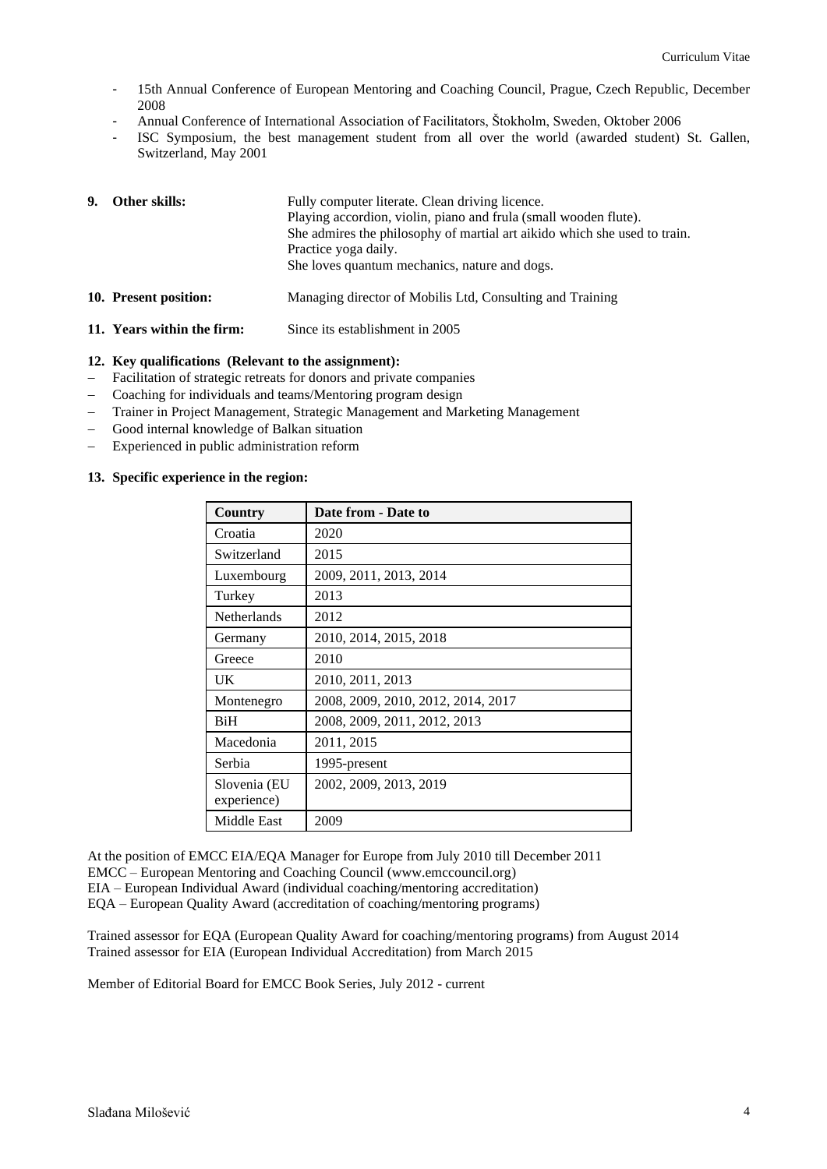- 15th Annual Conference of European Mentoring and Coaching Council, Prague, Czech Republic, December 2008
- Annual Conference of International Association of Facilitators, Štokholm, Sweden, Oktober 2006
- ISC Symposium, the best management student from all over the world (awarded student) St. Gallen, Switzerland, May 2001

| 9. | Other skills:              | Fully computer literate. Clean driving licence.<br>Playing accordion, violin, piano and frula (small wooden flute).<br>She admires the philosophy of martial art aikido which she used to train.<br>Practice yoga daily.<br>She loves quantum mechanics, nature and dogs. |
|----|----------------------------|---------------------------------------------------------------------------------------------------------------------------------------------------------------------------------------------------------------------------------------------------------------------------|
|    | 10. Present position:      | Managing director of Mobilis Ltd, Consulting and Training                                                                                                                                                                                                                 |
|    | 11. Years within the firm: | Since its establishment in 2005                                                                                                                                                                                                                                           |

#### **12. Key qualifications (Relevant to the assignment):**

- − Facilitation of strategic retreats for donors and private companies
- − Coaching for individuals and teams/Mentoring program design
- Trainer in Project Management, Strategic Management and Marketing Management
- − Good internal knowledge of Balkan situation
- − Experienced in public administration reform

#### **13. Specific experience in the region:**

| Country                     | Date from - Date to                |
|-----------------------------|------------------------------------|
| Croatia                     | 2020                               |
| Switzerland                 | 2015                               |
| Luxembourg                  | 2009, 2011, 2013, 2014             |
| Turkey                      | 2013                               |
| <b>Netherlands</b>          | 2012                               |
| Germany                     | 2010, 2014, 2015, 2018             |
| Greece                      | 2010                               |
| UK                          | 2010, 2011, 2013                   |
| Montenegro                  | 2008, 2009, 2010, 2012, 2014, 2017 |
| <b>BiH</b>                  | 2008, 2009, 2011, 2012, 2013       |
| Macedonia                   | 2011, 2015                         |
| Serbia                      | 1995-present                       |
| Slovenia (EU<br>experience) | 2002, 2009, 2013, 2019             |
| Middle East                 | 2009                               |

At the position of EMCC EIA/EQA Manager for Europe from July 2010 till December 2011 EMCC – European Mentoring and Coaching Council (www.emccouncil.org) EIA – European Individual Award (individual coaching/mentoring accreditation) EQA – European Quality Award (accreditation of coaching/mentoring programs)

Trained assessor for EQA (European Quality Award for coaching/mentoring programs) from August 2014 Trained assessor for EIA (European Individual Accreditation) from March 2015

Member of Editorial Board for EMCC Book Series, July 2012 - current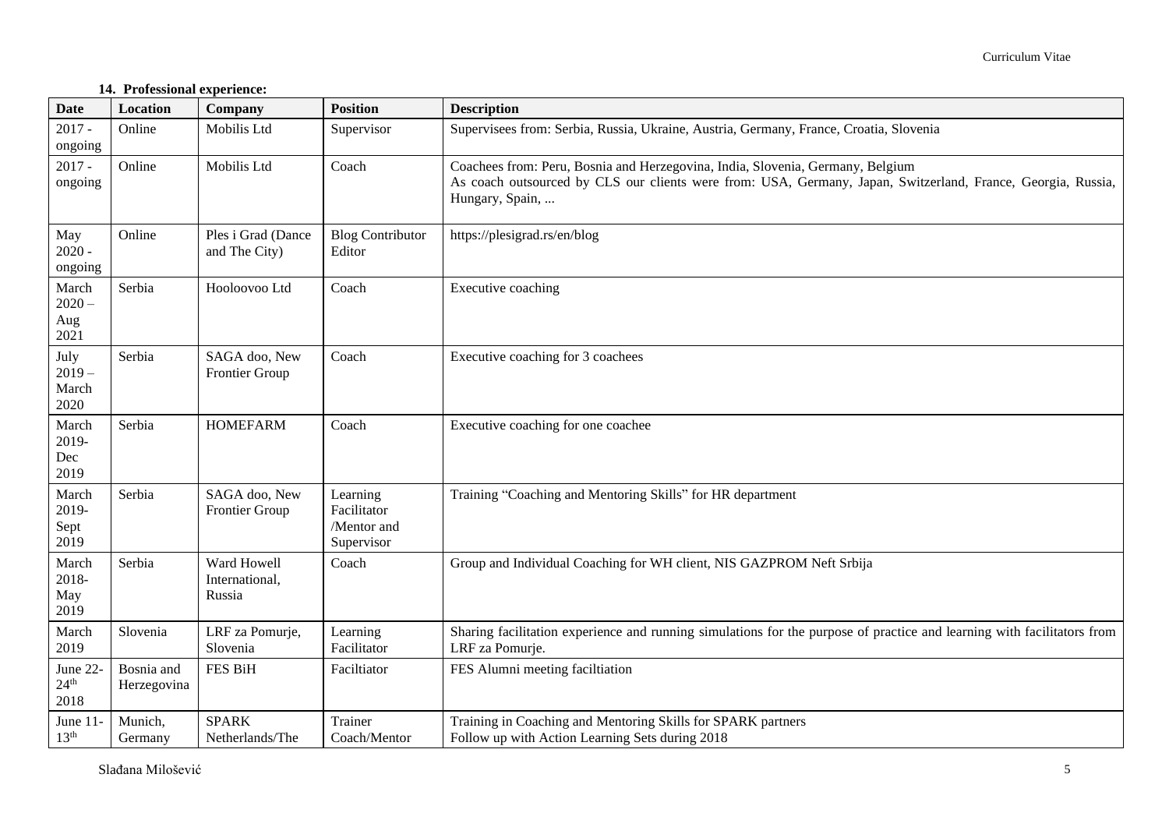# **14. Professional experience:**

| <b>Date</b>                          | Location                  | Company                                 | <b>Position</b>                                      | <b>Description</b>                                                                                                                                                                                                |
|--------------------------------------|---------------------------|-----------------------------------------|------------------------------------------------------|-------------------------------------------------------------------------------------------------------------------------------------------------------------------------------------------------------------------|
| $2017 -$<br>ongoing                  | Online                    | Mobilis Ltd                             | Supervisor                                           | Supervisees from: Serbia, Russia, Ukraine, Austria, Germany, France, Croatia, Slovenia                                                                                                                            |
| $2017 -$<br>ongoing                  | Online                    | Mobilis Ltd                             | Coach                                                | Coachees from: Peru, Bosnia and Herzegovina, India, Slovenia, Germany, Belgium<br>As coach outsourced by CLS our clients were from: USA, Germany, Japan, Switzerland, France, Georgia, Russia,<br>Hungary, Spain, |
| May<br>$2020 -$<br>ongoing           | Online                    | Ples i Grad (Dance<br>and The City)     | <b>Blog Contributor</b><br>Editor                    | https://plesigrad.rs/en/blog                                                                                                                                                                                      |
| March<br>$2020 -$<br>Aug<br>2021     | Serbia                    | Hooloovoo Ltd                           | Coach                                                | Executive coaching                                                                                                                                                                                                |
| July<br>$2019 -$<br>March<br>2020    | Serbia                    | SAGA doo, New<br><b>Frontier Group</b>  | Coach                                                | Executive coaching for 3 coachees                                                                                                                                                                                 |
| March<br>2019-<br>Dec<br>2019        | Serbia                    | <b>HOMEFARM</b>                         | Coach                                                | Executive coaching for one coachee                                                                                                                                                                                |
| March<br>2019-<br>Sept<br>2019       | Serbia                    | SAGA doo, New<br>Frontier Group         | Learning<br>Facilitator<br>/Mentor and<br>Supervisor | Training "Coaching and Mentoring Skills" for HR department                                                                                                                                                        |
| March<br>2018-<br>May<br>2019        | Serbia                    | Ward Howell<br>International,<br>Russia | Coach                                                | Group and Individual Coaching for WH client, NIS GAZPROM Neft Srbija                                                                                                                                              |
| March<br>2019                        | Slovenia                  | LRF za Pomurje,<br>Slovenia             | Learning<br>Facilitator                              | Sharing facilitation experience and running simulations for the purpose of practice and learning with facilitators from<br>LRF za Pomurje.                                                                        |
| June 22-<br>24 <sup>th</sup><br>2018 | Bosnia and<br>Herzegovina | <b>FES BiH</b>                          | Faciltiator                                          | FES Alumni meeting faciltiation                                                                                                                                                                                   |
| June 11-<br>13 <sup>th</sup>         | Munich,<br>Germany        | <b>SPARK</b><br>Netherlands/The         | Trainer<br>Coach/Mentor                              | Training in Coaching and Mentoring Skills for SPARK partners<br>Follow up with Action Learning Sets during 2018                                                                                                   |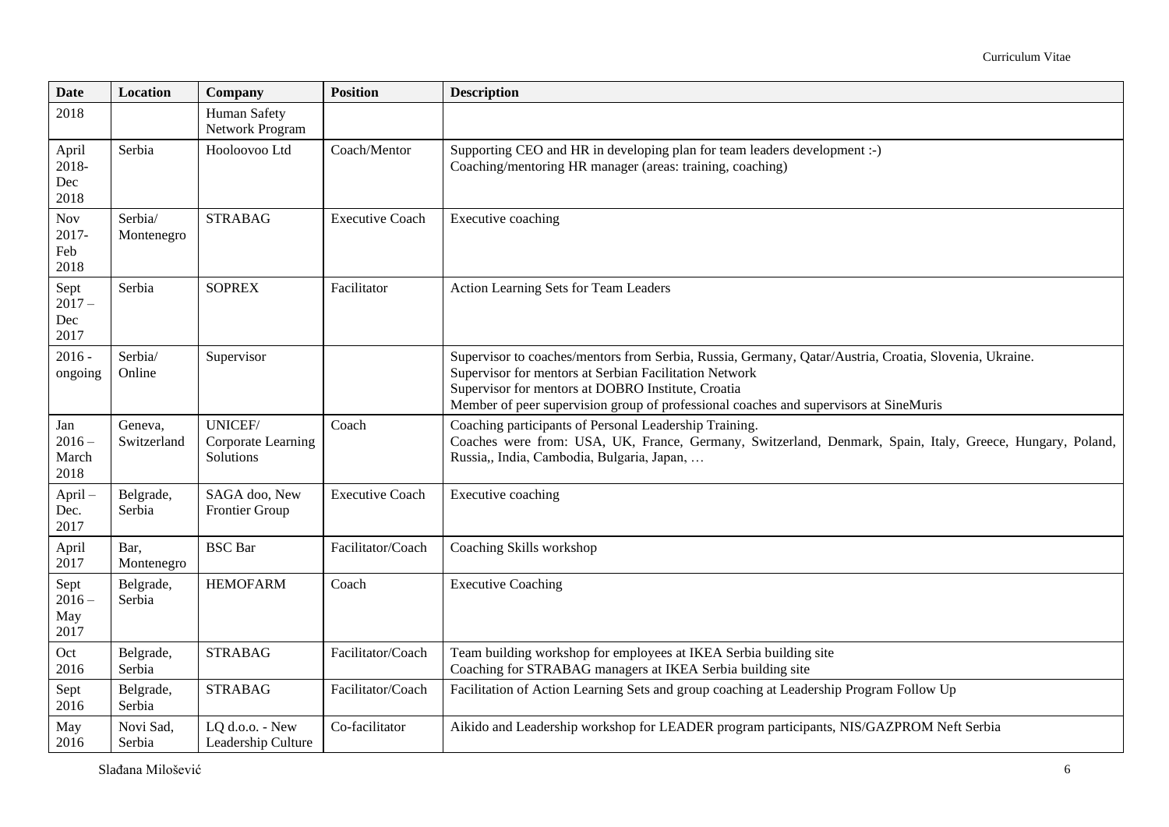| <b>Date</b>                        | <b>Location</b>        | Company                                    | <b>Position</b>        | <b>Description</b>                                                                                                                                                                                                                                                                                              |
|------------------------------------|------------------------|--------------------------------------------|------------------------|-----------------------------------------------------------------------------------------------------------------------------------------------------------------------------------------------------------------------------------------------------------------------------------------------------------------|
| 2018                               |                        | <b>Human Safety</b><br>Network Program     |                        |                                                                                                                                                                                                                                                                                                                 |
| April<br>2018-<br>Dec<br>2018      | Serbia                 | Hooloovoo Ltd                              | Coach/Mentor           | Supporting CEO and HR in developing plan for team leaders development :-)<br>Coaching/mentoring HR manager (areas: training, coaching)                                                                                                                                                                          |
| <b>Nov</b><br>2017-<br>Feb<br>2018 | Serbia/<br>Montenegro  | <b>STRABAG</b>                             | <b>Executive Coach</b> | Executive coaching                                                                                                                                                                                                                                                                                              |
| Sept<br>$2017 -$<br>Dec<br>2017    | Serbia                 | <b>SOPREX</b>                              | Facilitator            | Action Learning Sets for Team Leaders                                                                                                                                                                                                                                                                           |
| $2016 -$<br>ongoing                | Serbia/<br>Online      | Supervisor                                 |                        | Supervisor to coaches/mentors from Serbia, Russia, Germany, Qatar/Austria, Croatia, Slovenia, Ukraine.<br>Supervisor for mentors at Serbian Facilitation Network<br>Supervisor for mentors at DOBRO Institute, Croatia<br>Member of peer supervision group of professional coaches and supervisors at SineMuris |
| Jan<br>$2016 -$<br>March<br>2018   | Geneva,<br>Switzerland | UNICEF/<br>Corporate Learning<br>Solutions | Coach                  | Coaching participants of Personal Leadership Training.<br>Coaches were from: USA, UK, France, Germany, Switzerland, Denmark, Spain, Italy, Greece, Hungary, Poland,<br>Russia,, India, Cambodia, Bulgaria, Japan,                                                                                               |
| April-<br>Dec.<br>2017             | Belgrade,<br>Serbia    | SAGA doo, New<br><b>Frontier Group</b>     | <b>Executive Coach</b> | Executive coaching                                                                                                                                                                                                                                                                                              |
| April<br>2017                      | Bar,<br>Montenegro     | <b>BSC</b> Bar                             | Facilitator/Coach      | Coaching Skills workshop                                                                                                                                                                                                                                                                                        |
| Sept<br>$2016 -$<br>May<br>2017    | Belgrade,<br>Serbia    | <b>HEMOFARM</b>                            | Coach                  | <b>Executive Coaching</b>                                                                                                                                                                                                                                                                                       |
| Oct<br>2016                        | Belgrade,<br>Serbia    | <b>STRABAG</b>                             | Facilitator/Coach      | Team building workshop for employees at IKEA Serbia building site<br>Coaching for STRABAG managers at IKEA Serbia building site                                                                                                                                                                                 |
| Sept<br>2016                       | Belgrade,<br>Serbia    | <b>STRABAG</b>                             | Facilitator/Coach      | Facilitation of Action Learning Sets and group coaching at Leadership Program Follow Up                                                                                                                                                                                                                         |
| May<br>2016                        | Novi Sad,<br>Serbia    | LQ d.o.o. - New<br>Leadership Culture      | Co-facilitator         | Aikido and Leadership workshop for LEADER program participants, NIS/GAZPROM Neft Serbia                                                                                                                                                                                                                         |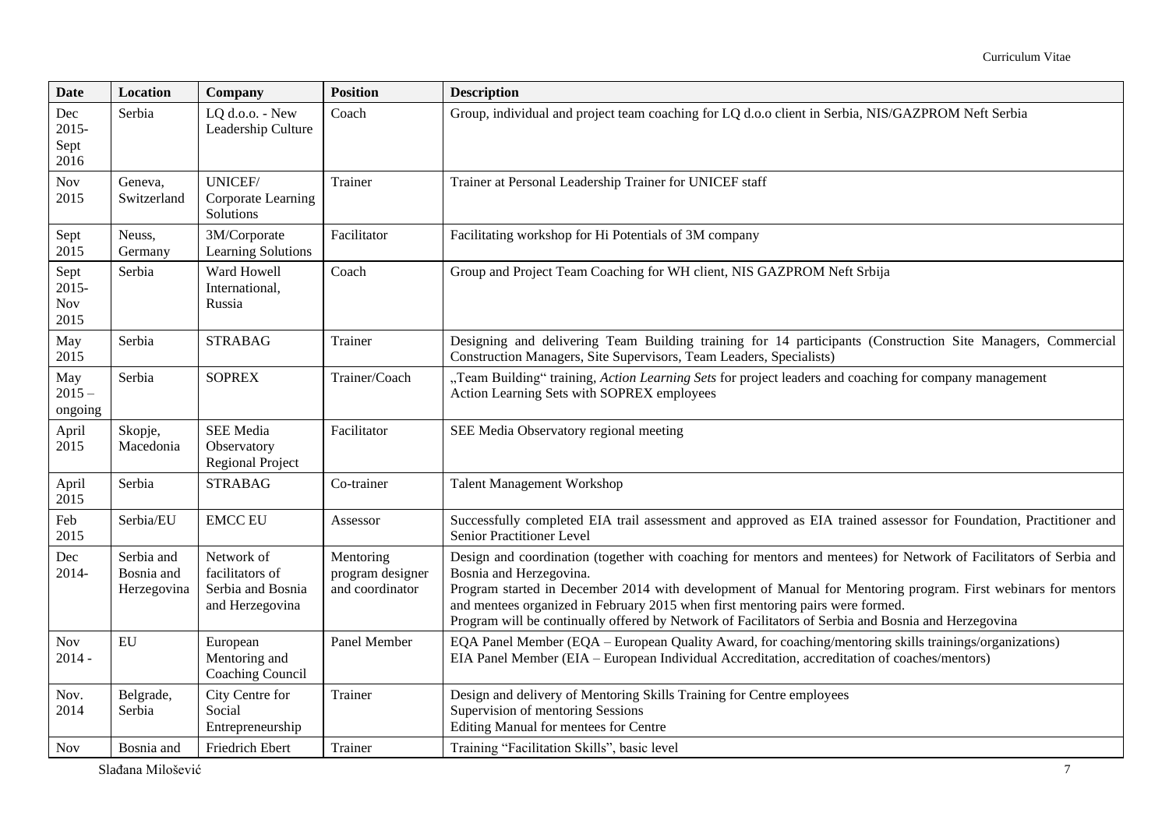| <b>Date</b>                            | Location                                | <b>Company</b>                                                        | <b>Position</b>                                  | <b>Description</b>                                                                                                                                                                                                                                                                                                                                                                                                                                      |
|----------------------------------------|-----------------------------------------|-----------------------------------------------------------------------|--------------------------------------------------|---------------------------------------------------------------------------------------------------------------------------------------------------------------------------------------------------------------------------------------------------------------------------------------------------------------------------------------------------------------------------------------------------------------------------------------------------------|
| Dec<br>$2015 -$<br>Sept<br>2016        | Serbia                                  | LQ d.o.o. - New<br>Leadership Culture                                 | Coach                                            | Group, individual and project team coaching for LQ d.o.o client in Serbia, NIS/GAZPROM Neft Serbia                                                                                                                                                                                                                                                                                                                                                      |
| Nov<br>2015                            | Geneva,<br>Switzerland                  | UNICEF/<br>Corporate Learning<br>Solutions                            | Trainer                                          | Trainer at Personal Leadership Trainer for UNICEF staff                                                                                                                                                                                                                                                                                                                                                                                                 |
| Sept<br>2015                           | Neuss,<br>Germany                       | 3M/Corporate<br><b>Learning Solutions</b>                             | Facilitator                                      | Facilitating workshop for Hi Potentials of 3M company                                                                                                                                                                                                                                                                                                                                                                                                   |
| Sept<br>$2015 -$<br><b>Nov</b><br>2015 | Serbia                                  | Ward Howell<br>International,<br>Russia                               | Coach                                            | Group and Project Team Coaching for WH client, NIS GAZPROM Neft Srbija                                                                                                                                                                                                                                                                                                                                                                                  |
| May<br>2015                            | Serbia                                  | <b>STRABAG</b>                                                        | Trainer                                          | Designing and delivering Team Building training for 14 participants (Construction Site Managers, Commercial<br>Construction Managers, Site Supervisors, Team Leaders, Specialists)                                                                                                                                                                                                                                                                      |
| May<br>$2015 -$<br>ongoing             | Serbia                                  | <b>SOPREX</b>                                                         | Trainer/Coach                                    | "Team Building" training, Action Learning Sets for project leaders and coaching for company management<br>Action Learning Sets with SOPREX employees                                                                                                                                                                                                                                                                                                    |
| April<br>2015                          | Skopje,<br>Macedonia                    | <b>SEE</b> Media<br>Observatory<br><b>Regional Project</b>            | Facilitator                                      | SEE Media Observatory regional meeting                                                                                                                                                                                                                                                                                                                                                                                                                  |
| April<br>2015                          | Serbia                                  | <b>STRABAG</b>                                                        | Co-trainer                                       | <b>Talent Management Workshop</b>                                                                                                                                                                                                                                                                                                                                                                                                                       |
| Feb<br>2015                            | Serbia/EU                               | <b>EMCC EU</b>                                                        | Assessor                                         | Successfully completed EIA trail assessment and approved as EIA trained assessor for Foundation, Practitioner and<br>Senior Practitioner Level                                                                                                                                                                                                                                                                                                          |
| Dec<br>2014-                           | Serbia and<br>Bosnia and<br>Herzegovina | Network of<br>facilitators of<br>Serbia and Bosnia<br>and Herzegovina | Mentoring<br>program designer<br>and coordinator | Design and coordination (together with coaching for mentors and mentees) for Network of Facilitators of Serbia and<br>Bosnia and Herzegovina.<br>Program started in December 2014 with development of Manual for Mentoring program. First webinars for mentors<br>and mentees organized in February 2015 when first mentoring pairs were formed.<br>Program will be continually offered by Network of Facilitators of Serbia and Bosnia and Herzegovina |
| <b>Nov</b><br>$2014 -$                 | EU                                      | European<br>Mentoring and<br>Coaching Council                         | Panel Member                                     | EQA Panel Member (EQA – European Quality Award, for coaching/mentoring skills trainings/organizations)<br>EIA Panel Member (EIA - European Individual Accreditation, accreditation of coaches/mentors)                                                                                                                                                                                                                                                  |
| Nov.<br>2014                           | Belgrade,<br>Serbia                     | City Centre for<br>Social<br>Entrepreneurship                         | Trainer                                          | Design and delivery of Mentoring Skills Training for Centre employees<br>Supervision of mentoring Sessions<br>Editing Manual for mentees for Centre                                                                                                                                                                                                                                                                                                     |
| <b>Nov</b>                             | Bosnia and                              | Friedrich Ebert                                                       | Trainer                                          | Training "Facilitation Skills", basic level                                                                                                                                                                                                                                                                                                                                                                                                             |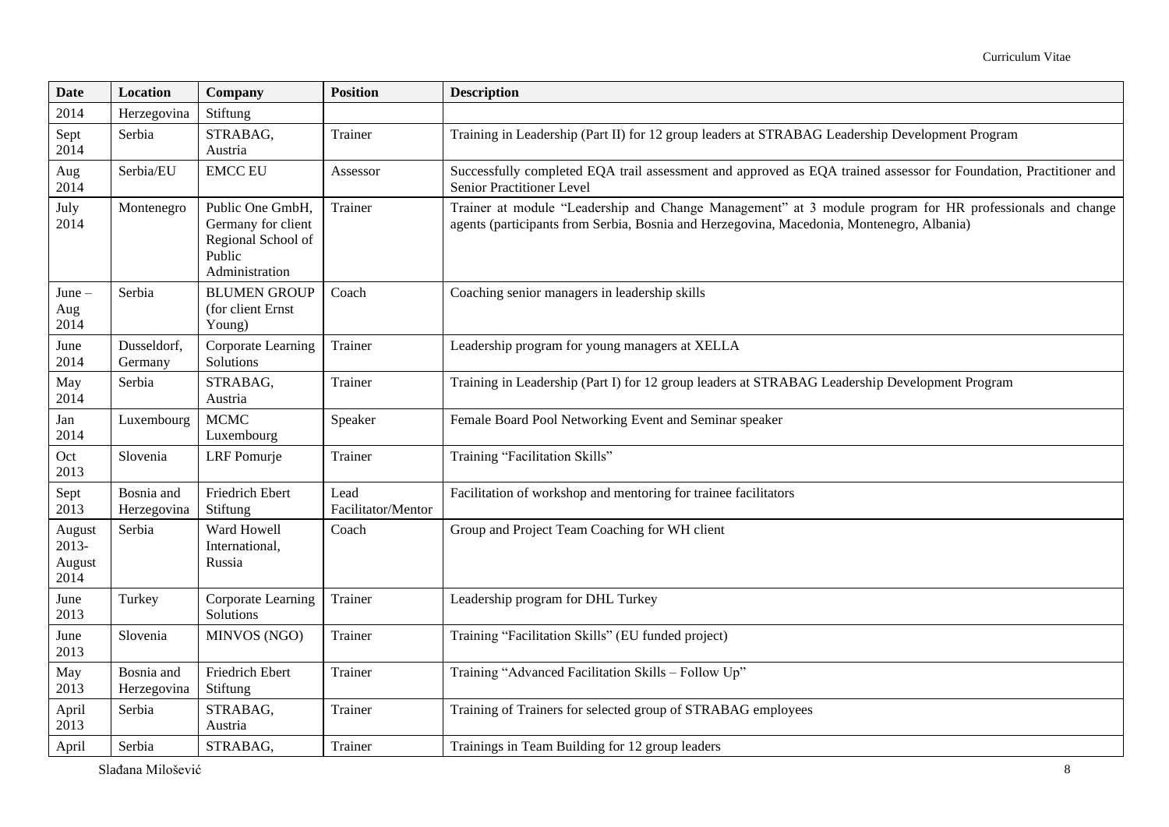| <b>Date</b>                       | Location                  | Company                                                                                  | <b>Position</b>            | <b>Description</b>                                                                                                                                                                                    |
|-----------------------------------|---------------------------|------------------------------------------------------------------------------------------|----------------------------|-------------------------------------------------------------------------------------------------------------------------------------------------------------------------------------------------------|
| 2014                              | Herzegovina               | Stiftung                                                                                 |                            |                                                                                                                                                                                                       |
| Sept<br>2014                      | Serbia                    | STRABAG,<br>Austria                                                                      | Trainer                    | Training in Leadership (Part II) for 12 group leaders at STRABAG Leadership Development Program                                                                                                       |
| Aug<br>2014                       | Serbia/EU                 | <b>EMCC EU</b>                                                                           | Assessor                   | Successfully completed EQA trail assessment and approved as EQA trained assessor for Foundation, Practitioner and<br>Senior Practitioner Level                                                        |
| July<br>2014                      | Montenegro                | Public One GmbH,<br>Germany for client<br>Regional School of<br>Public<br>Administration | Trainer                    | Trainer at module "Leadership and Change Management" at 3 module program for HR professionals and change<br>agents (participants from Serbia, Bosnia and Herzegovina, Macedonia, Montenegro, Albania) |
| June $-$<br>Aug<br>2014           | Serbia                    | <b>BLUMEN GROUP</b><br>(for client Ernst<br>Young)                                       | Coach                      | Coaching senior managers in leadership skills                                                                                                                                                         |
| June<br>2014                      | Dusseldorf,<br>Germany    | Corporate Learning<br>Solutions                                                          | Trainer                    | Leadership program for young managers at XELLA                                                                                                                                                        |
| May<br>2014                       | Serbia                    | STRABAG,<br>Austria                                                                      | Trainer                    | Training in Leadership (Part I) for 12 group leaders at STRABAG Leadership Development Program                                                                                                        |
| Jan<br>2014                       | Luxembourg                | <b>MCMC</b><br>Luxembourg                                                                | Speaker                    | Female Board Pool Networking Event and Seminar speaker                                                                                                                                                |
| Oct<br>2013                       | Slovenia                  | <b>LRF</b> Pomurje                                                                       | Trainer                    | Training "Facilitation Skills"                                                                                                                                                                        |
| Sept<br>2013                      | Bosnia and<br>Herzegovina | Friedrich Ebert<br>Stiftung                                                              | Lead<br>Facilitator/Mentor | Facilitation of workshop and mentoring for trainee facilitators                                                                                                                                       |
| August<br>2013-<br>August<br>2014 | Serbia                    | Ward Howell<br>International,<br>Russia                                                  | Coach                      | Group and Project Team Coaching for WH client                                                                                                                                                         |
| June<br>2013                      | Turkey                    | Corporate Learning<br>Solutions                                                          | Trainer                    | Leadership program for DHL Turkey                                                                                                                                                                     |
| June<br>2013                      | Slovenia                  | MINVOS (NGO)                                                                             | Trainer                    | Training "Facilitation Skills" (EU funded project)                                                                                                                                                    |
| May<br>2013                       | Bosnia and<br>Herzegovina | <b>Friedrich Ebert</b><br>Stiftung                                                       | Trainer                    | Training "Advanced Facilitation Skills - Follow Up"                                                                                                                                                   |
| April<br>2013                     | Serbia                    | STRABAG,<br>Austria                                                                      | Trainer                    | Training of Trainers for selected group of STRABAG employees                                                                                                                                          |
| April                             | Serbia                    | STRABAG,                                                                                 | Trainer                    | Trainings in Team Building for 12 group leaders                                                                                                                                                       |

Slađana Milošević 8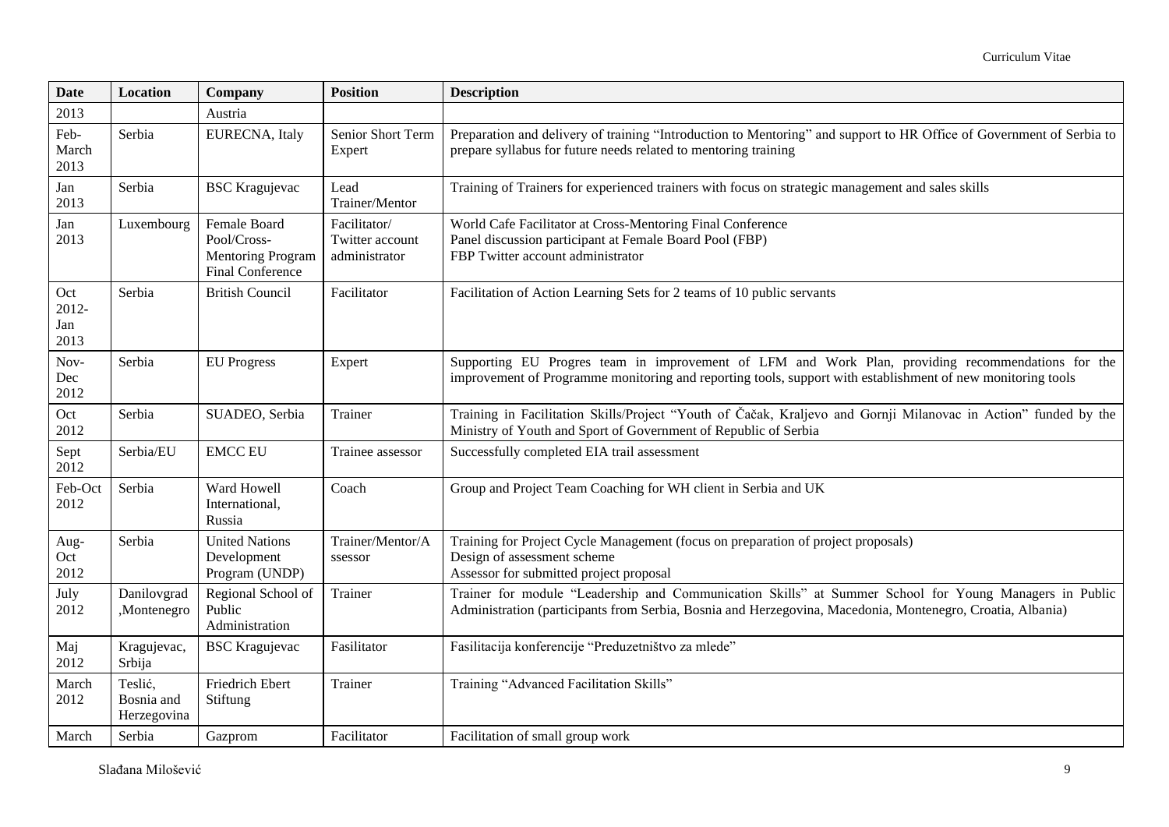| <b>Date</b>                 | <b>Location</b>                      | Company                                                                     | <b>Position</b>                                  | <b>Description</b>                                                                                                                                                                                                   |
|-----------------------------|--------------------------------------|-----------------------------------------------------------------------------|--------------------------------------------------|----------------------------------------------------------------------------------------------------------------------------------------------------------------------------------------------------------------------|
| 2013                        |                                      | Austria                                                                     |                                                  |                                                                                                                                                                                                                      |
| Feb-<br>March<br>2013       | Serbia                               | EURECNA, Italy                                                              | Senior Short Term<br>Expert                      | Preparation and delivery of training "Introduction to Mentoring" and support to HR Office of Government of Serbia to<br>prepare syllabus for future needs related to mentoring training                              |
| Jan<br>2013                 | Serbia                               | <b>BSC</b> Kragujevac                                                       | Lead<br>Trainer/Mentor                           | Training of Trainers for experienced trainers with focus on strategic management and sales skills                                                                                                                    |
| Jan<br>2013                 | Luxembourg                           | Female Board<br>Pool/Cross-<br><b>Mentoring Program</b><br>Final Conference | Facilitator/<br>Twitter account<br>administrator | World Cafe Facilitator at Cross-Mentoring Final Conference<br>Panel discussion participant at Female Board Pool (FBP)<br>FBP Twitter account administrator                                                           |
| Oct<br>2012-<br>Jan<br>2013 | Serbia                               | <b>British Council</b>                                                      | Facilitator                                      | Facilitation of Action Learning Sets for 2 teams of 10 public servants                                                                                                                                               |
| Nov-<br>Dec<br>2012         | Serbia                               | <b>EU</b> Progress                                                          | Expert                                           | Supporting EU Progres team in improvement of LFM and Work Plan, providing recommendations for the<br>improvement of Programme monitoring and reporting tools, support with establishment of new monitoring tools     |
| Oct<br>2012                 | Serbia                               | SUADEO, Serbia                                                              | Trainer                                          | Training in Facilitation Skills/Project "Youth of Čačak, Kraljevo and Gornji Milanovac in Action" funded by the<br>Ministry of Youth and Sport of Government of Republic of Serbia                                   |
| Sept<br>2012                | Serbia/EU                            | <b>EMCC EU</b>                                                              | Trainee assessor                                 | Successfully completed EIA trail assessment                                                                                                                                                                          |
| Feb-Oct<br>2012             | Serbia                               | Ward Howell<br>International,<br>Russia                                     | Coach                                            | Group and Project Team Coaching for WH client in Serbia and UK                                                                                                                                                       |
| Aug-<br>Oct<br>2012         | Serbia                               | <b>United Nations</b><br>Development<br>Program (UNDP)                      | Trainer/Mentor/A<br>ssessor                      | Training for Project Cycle Management (focus on preparation of project proposals)<br>Design of assessment scheme<br>Assessor for submitted project proposal                                                          |
| July<br>2012                | Danilovgrad<br>,Montenegro           | Regional School of<br>Public<br>Administration                              | Trainer                                          | Trainer for module "Leadership and Communication Skills" at Summer School for Young Managers in Public<br>Administration (participants from Serbia, Bosnia and Herzegovina, Macedonia, Montenegro, Croatia, Albania) |
| Maj<br>2012                 | Kragujevac,<br>Srbija                | <b>BSC</b> Kragujevac                                                       | Fasilitator                                      | Fasilitacija konferencije "Preduzetništvo za mlede"                                                                                                                                                                  |
| March<br>2012               | Teslić,<br>Bosnia and<br>Herzegovina | Friedrich Ebert<br>Stiftung                                                 | Trainer                                          | Training "Advanced Facilitation Skills"                                                                                                                                                                              |
| March                       | Serbia                               | Gazprom                                                                     | Facilitator                                      | Facilitation of small group work                                                                                                                                                                                     |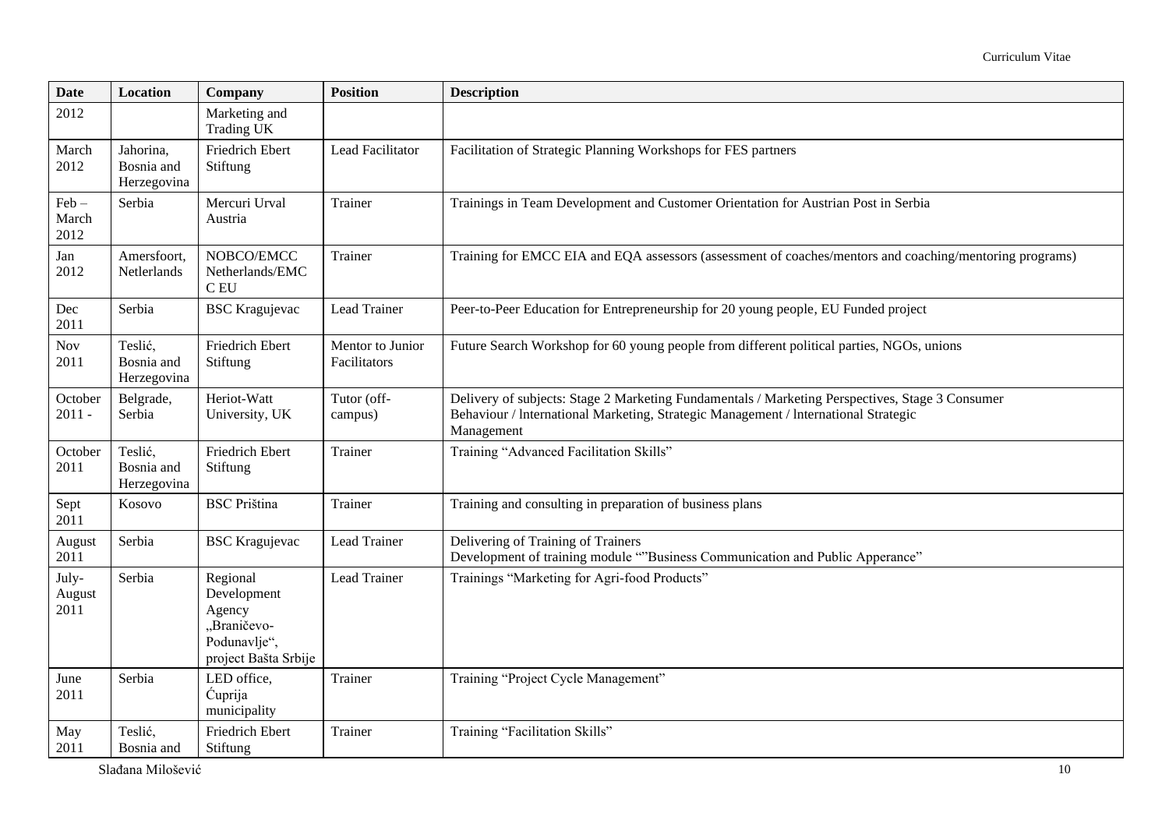| <b>Date</b>              | Location                               | Company                                                                                  | <b>Position</b>                  | <b>Description</b>                                                                                                                                                                                   |
|--------------------------|----------------------------------------|------------------------------------------------------------------------------------------|----------------------------------|------------------------------------------------------------------------------------------------------------------------------------------------------------------------------------------------------|
| 2012                     |                                        | Marketing and<br><b>Trading UK</b>                                                       |                                  |                                                                                                                                                                                                      |
| March<br>2012            | Jahorina,<br>Bosnia and<br>Herzegovina | Friedrich Ebert<br>Stiftung                                                              | Lead Facilitator                 | Facilitation of Strategic Planning Workshops for FES partners                                                                                                                                        |
| $Feb -$<br>March<br>2012 | Serbia                                 | Mercuri Urval<br>Austria                                                                 | Trainer                          | Trainings in Team Development and Customer Orientation for Austrian Post in Serbia                                                                                                                   |
| Jan<br>2012              | Amersfoort,<br>Netlerlands             | NOBCO/EMCC<br>Netherlands/EMC<br>C EU                                                    | Trainer                          | Training for EMCC EIA and EQA assessors (assessment of coaches/mentors and coaching/mentoring programs)                                                                                              |
| Dec<br>2011              | Serbia                                 | <b>BSC</b> Kragujevac                                                                    | Lead Trainer                     | Peer-to-Peer Education for Entrepreneurship for 20 young people, EU Funded project                                                                                                                   |
| <b>Nov</b><br>2011       | Teslić,<br>Bosnia and<br>Herzegovina   | Friedrich Ebert<br>Stiftung                                                              | Mentor to Junior<br>Facilitators | Future Search Workshop for 60 young people from different political parties, NGOs, unions                                                                                                            |
| October<br>$2011 -$      | Belgrade,<br>Serbia                    | Heriot-Watt<br>University, UK                                                            | Tutor (off-<br>campus)           | Delivery of subjects: Stage 2 Marketing Fundamentals / Marketing Perspectives, Stage 3 Consumer<br>Behaviour / International Marketing, Strategic Management / International Strategic<br>Management |
| October<br>2011          | Teslić,<br>Bosnia and<br>Herzegovina   | Friedrich Ebert<br>Stiftung                                                              | Trainer                          | Training "Advanced Facilitation Skills"                                                                                                                                                              |
| Sept<br>2011             | Kosovo                                 | <b>BSC</b> Priština                                                                      | Trainer                          | Training and consulting in preparation of business plans                                                                                                                                             |
| August<br>2011           | Serbia                                 | <b>BSC</b> Kragujevac                                                                    | Lead Trainer                     | Delivering of Training of Trainers<br>Development of training module ""Business Communication and Public Apperance"                                                                                  |
| July-<br>August<br>2011  | Serbia                                 | Regional<br>Development<br>Agency<br>"Braničevo-<br>Podunavlje",<br>project Bašta Srbije | Lead Trainer                     | Trainings "Marketing for Agri-food Products"                                                                                                                                                         |
| June<br>2011             | Serbia                                 | LED office,<br>Cuprija<br>municipality                                                   | Trainer                          | Training "Project Cycle Management"                                                                                                                                                                  |
| May<br>2011              | Teslić,<br>Bosnia and                  | Friedrich Ebert<br>Stiftung                                                              | Trainer                          | Training "Facilitation Skills"                                                                                                                                                                       |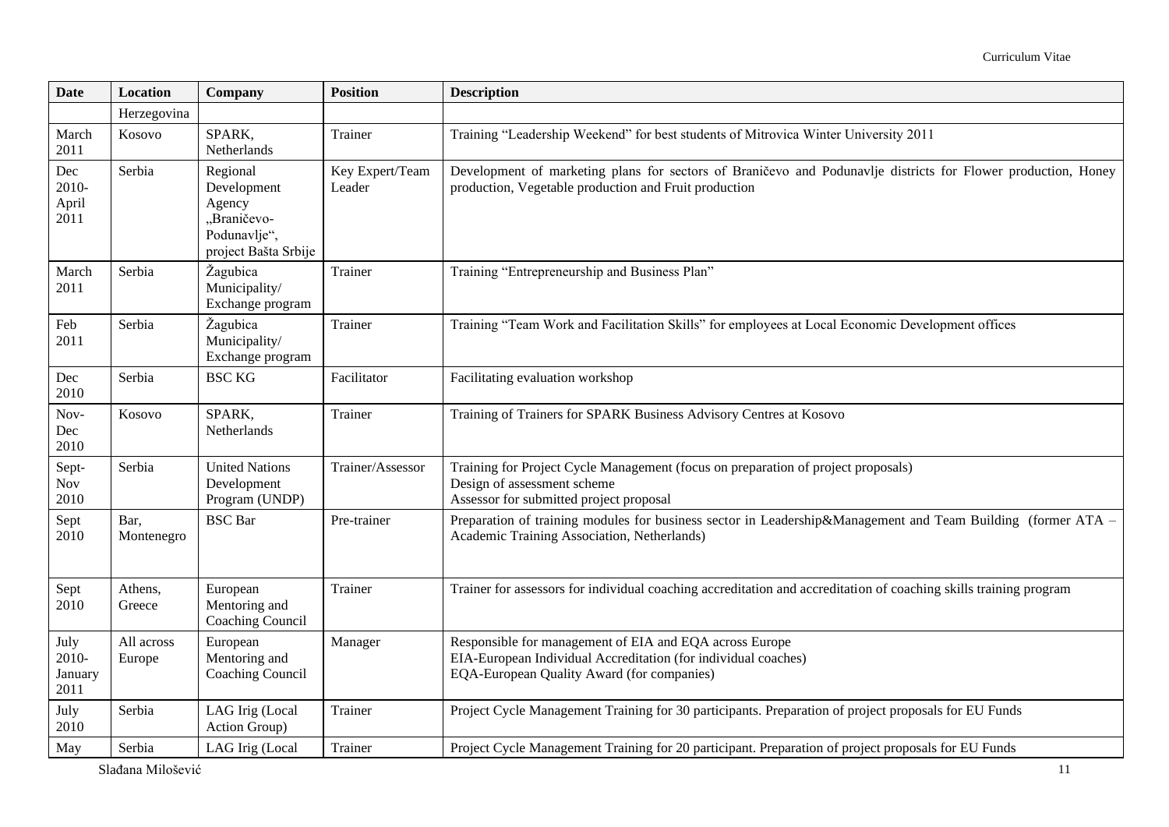| <b>Date</b>                      | <b>Location</b>      | Company                                                                                  | <b>Position</b>           | <b>Description</b>                                                                                                                                                      |
|----------------------------------|----------------------|------------------------------------------------------------------------------------------|---------------------------|-------------------------------------------------------------------------------------------------------------------------------------------------------------------------|
|                                  | Herzegovina          |                                                                                          |                           |                                                                                                                                                                         |
| March<br>2011                    | Kosovo               | SPARK,<br>Netherlands                                                                    | Trainer                   | Training "Leadership Weekend" for best students of Mitrovica Winter University 2011                                                                                     |
| Dec<br>2010-<br>April<br>2011    | Serbia               | Regional<br>Development<br>Agency<br>"Braničevo-<br>Podunavlje",<br>project Bašta Srbije | Key Expert/Team<br>Leader | Development of marketing plans for sectors of Braničevo and Podunavlje districts for Flower production, Honey<br>production, Vegetable production and Fruit production  |
| March<br>2011                    | Serbia               | Žagubica<br>Municipality/<br>Exchange program                                            | Trainer                   | Training "Entrepreneurship and Business Plan"                                                                                                                           |
| Feb<br>2011                      | Serbia               | Žagubica<br>Municipality/<br>Exchange program                                            | Trainer                   | Training "Team Work and Facilitation Skills" for employees at Local Economic Development offices                                                                        |
| Dec<br>2010                      | Serbia               | <b>BSC KG</b>                                                                            | Facilitator               | Facilitating evaluation workshop                                                                                                                                        |
| Nov-<br>Dec<br>2010              | Kosovo               | SPARK,<br>Netherlands                                                                    | Trainer                   | Training of Trainers for SPARK Business Advisory Centres at Kosovo                                                                                                      |
| Sept-<br><b>Nov</b><br>2010      | Serbia               | <b>United Nations</b><br>Development<br>Program (UNDP)                                   | Trainer/Assessor          | Training for Project Cycle Management (focus on preparation of project proposals)<br>Design of assessment scheme<br>Assessor for submitted project proposal             |
| Sept<br>2010                     | Bar,<br>Montenegro   | <b>BSC</b> Bar                                                                           | Pre-trainer               | Preparation of training modules for business sector in Leadership&Management and Team Building (former ATA -<br>Academic Training Association, Netherlands)             |
| Sept<br>2010                     | Athens,<br>Greece    | European<br>Mentoring and<br>Coaching Council                                            | Trainer                   | Trainer for assessors for individual coaching accreditation and accreditation of coaching skills training program                                                       |
| July<br>2010-<br>January<br>2011 | All across<br>Europe | European<br>Mentoring and<br>Coaching Council                                            | Manager                   | Responsible for management of EIA and EQA across Europe<br>EIA-European Individual Accreditation (for individual coaches)<br>EQA-European Quality Award (for companies) |
| July<br>2010                     | Serbia               | LAG Irig (Local<br>Action Group)                                                         | Trainer                   | Project Cycle Management Training for 30 participants. Preparation of project proposals for EU Funds                                                                    |
| May                              | Serbia               | LAG Irig (Local                                                                          | Trainer                   | Project Cycle Management Training for 20 participant. Preparation of project proposals for EU Funds                                                                     |

Slađana Milošević 11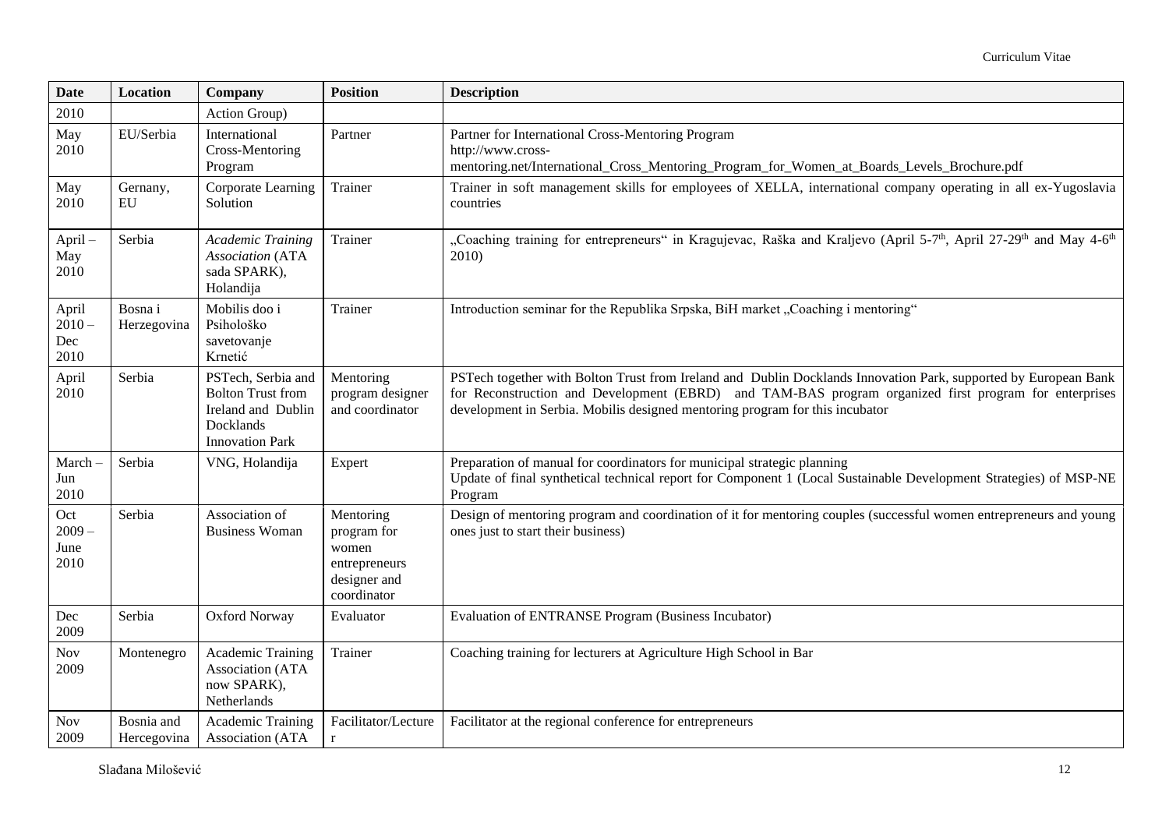| <b>Date</b>                      | Location                  | Company                                                                                                     | <b>Position</b>                                                                   | <b>Description</b>                                                                                                                                                                                                                                                                                       |
|----------------------------------|---------------------------|-------------------------------------------------------------------------------------------------------------|-----------------------------------------------------------------------------------|----------------------------------------------------------------------------------------------------------------------------------------------------------------------------------------------------------------------------------------------------------------------------------------------------------|
| 2010                             |                           | Action Group)                                                                                               |                                                                                   |                                                                                                                                                                                                                                                                                                          |
| May<br>2010                      | EU/Serbia                 | International<br>Cross-Mentoring<br>Program                                                                 | Partner                                                                           | Partner for International Cross-Mentoring Program<br>http://www.cross-<br>mentoring.net/International_Cross_Mentoring_Program_for_Women_at_Boards_Levels_Brochure.pdf                                                                                                                                    |
| May<br>2010                      | Gernany,<br>EU            | Corporate Learning<br>Solution                                                                              | Trainer                                                                           | Trainer in soft management skills for employees of XELLA, international company operating in all ex-Yugoslavia<br>countries                                                                                                                                                                              |
| April-<br>May<br>2010            | Serbia                    | <b>Academic Training</b><br><b>Association</b> (ATA<br>sada SPARK),<br>Holandija                            | Trainer                                                                           | "Coaching training for entrepreneurs" in Kragujevac, Raška and Kraljevo (April 5-7 <sup>th</sup> , April 27-29 <sup>th</sup> and May 4-6 <sup>th</sup><br>2010)                                                                                                                                          |
| April<br>$2010 -$<br>Dec<br>2010 | Bosna i<br>Herzegovina    | Mobilis doo i<br>Psihološko<br>savetovanje<br>Krnetić                                                       | Trainer                                                                           | Introduction seminar for the Republika Srpska, BiH market "Coaching i mentoring"                                                                                                                                                                                                                         |
| April<br>2010                    | Serbia                    | PSTech, Serbia and<br><b>Bolton Trust from</b><br>Ireland and Dublin<br>Docklands<br><b>Innovation Park</b> | Mentoring<br>program designer<br>and coordinator                                  | PSTech together with Bolton Trust from Ireland and Dublin Docklands Innovation Park, supported by European Bank<br>for Reconstruction and Development (EBRD) and TAM-BAS program organized first program for enterprises<br>development in Serbia. Mobilis designed mentoring program for this incubator |
| March-<br>Jun<br>2010            | Serbia                    | VNG, Holandija                                                                                              | Expert                                                                            | Preparation of manual for coordinators for municipal strategic planning<br>Update of final synthetical technical report for Component 1 (Local Sustainable Development Strategies) of MSP-NE<br>Program                                                                                                  |
| Oct<br>$2009 -$<br>June<br>2010  | Serbia                    | Association of<br><b>Business Woman</b>                                                                     | Mentoring<br>program for<br>women<br>entrepreneurs<br>designer and<br>coordinator | Design of mentoring program and coordination of it for mentoring couples (successful women entrepreneurs and young<br>ones just to start their business)                                                                                                                                                 |
| Dec<br>2009                      | Serbia                    | <b>Oxford Norway</b>                                                                                        | Evaluator                                                                         | Evaluation of ENTRANSE Program (Business Incubator)                                                                                                                                                                                                                                                      |
| <b>Nov</b><br>2009               | Montenegro                | Academic Training<br>Association (ATA<br>now SPARK),<br>Netherlands                                         | Trainer                                                                           | Coaching training for lecturers at Agriculture High School in Bar                                                                                                                                                                                                                                        |
| <b>Nov</b><br>2009               | Bosnia and<br>Hercegovina | Academic Training<br>Association (ATA                                                                       | Facilitator/Lecture<br>$\mathbf{r}$                                               | Facilitator at the regional conference for entrepreneurs                                                                                                                                                                                                                                                 |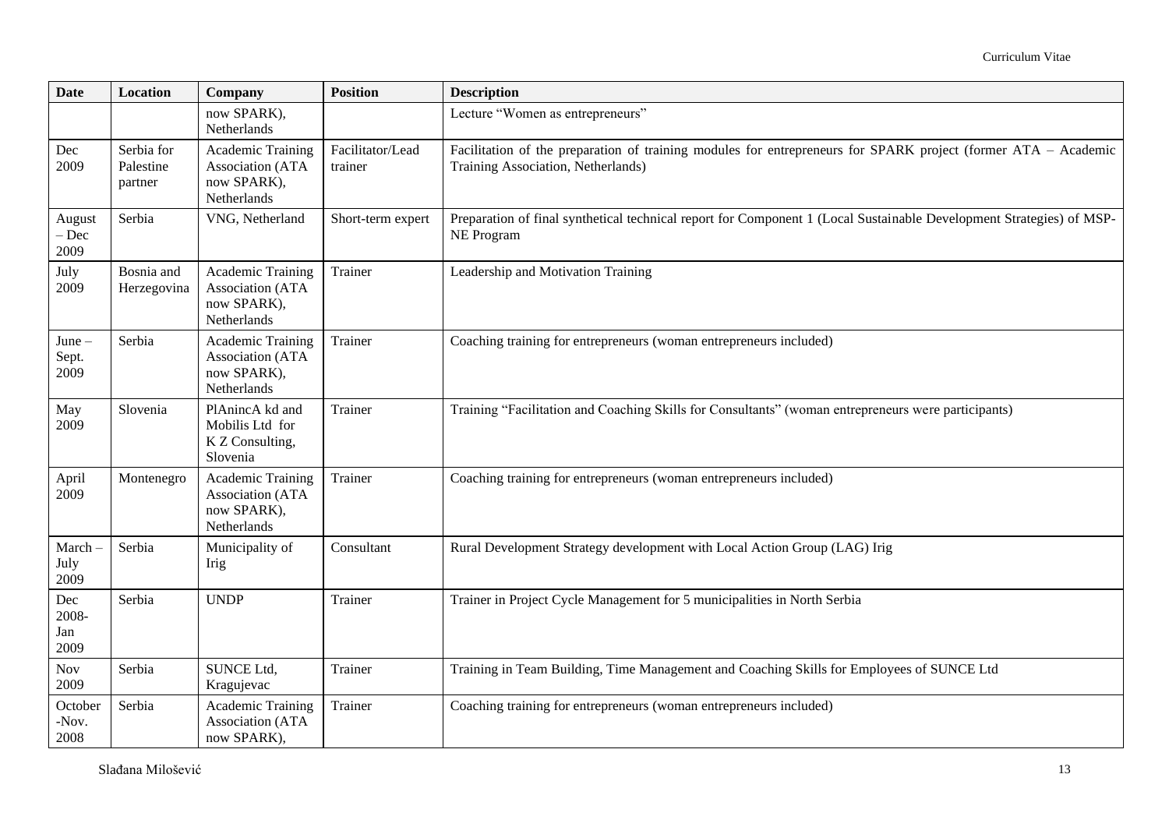| <b>Date</b>                             | Location                           | Company                                                                    | <b>Position</b>             | <b>Description</b>                                                                                                                                   |
|-----------------------------------------|------------------------------------|----------------------------------------------------------------------------|-----------------------------|------------------------------------------------------------------------------------------------------------------------------------------------------|
|                                         |                                    | now SPARK),<br>Netherlands                                                 |                             | Lecture "Women as entrepreneurs"                                                                                                                     |
| Dec<br>2009                             | Serbia for<br>Palestine<br>partner | <b>Academic Training</b><br>Association (ATA<br>now SPARK),<br>Netherlands | Facilitator/Lead<br>trainer | Facilitation of the preparation of training modules for entrepreneurs for SPARK project (former ATA - Academic<br>Training Association, Netherlands) |
| August<br>$-\operatorname{Dec}$<br>2009 | Serbia                             | VNG, Netherland                                                            | Short-term expert           | Preparation of final synthetical technical report for Component 1 (Local Sustainable Development Strategies) of MSP-<br>NE Program                   |
| July<br>2009                            | Bosnia and<br>Herzegovina          | Academic Training<br>Association (ATA<br>now SPARK),<br>Netherlands        | Trainer                     | Leadership and Motivation Training                                                                                                                   |
| June $-$<br>Sept.<br>2009               | Serbia                             | Academic Training<br>Association (ATA<br>now SPARK),<br>Netherlands        | Trainer                     | Coaching training for entrepreneurs (woman entrepreneurs included)                                                                                   |
| May<br>2009                             | Slovenia                           | PlAnincA kd and<br>Mobilis Ltd for<br>K Z Consulting,<br>Slovenia          | Trainer                     | Training "Facilitation and Coaching Skills for Consultants" (woman entrepreneurs were participants)                                                  |
| April<br>2009                           | Montenegro                         | Academic Training<br>Association (ATA<br>now SPARK),<br>Netherlands        | Trainer                     | Coaching training for entrepreneurs (woman entrepreneurs included)                                                                                   |
| March-<br>July<br>2009                  | Serbia                             | Municipality of<br>Irig                                                    | Consultant                  | Rural Development Strategy development with Local Action Group (LAG) Irig                                                                            |
| Dec<br>2008-<br>Jan<br>2009             | Serbia                             | <b>UNDP</b>                                                                | Trainer                     | Trainer in Project Cycle Management for 5 municipalities in North Serbia                                                                             |
| <b>Nov</b><br>2009                      | Serbia                             | SUNCE Ltd,<br>Kragujevac                                                   | Trainer                     | Training in Team Building, Time Management and Coaching Skills for Employees of SUNCE Ltd                                                            |
| October<br>-Nov.<br>2008                | Serbia                             | Academic Training<br>Association (ATA<br>now SPARK),                       | Trainer                     | Coaching training for entrepreneurs (woman entrepreneurs included)                                                                                   |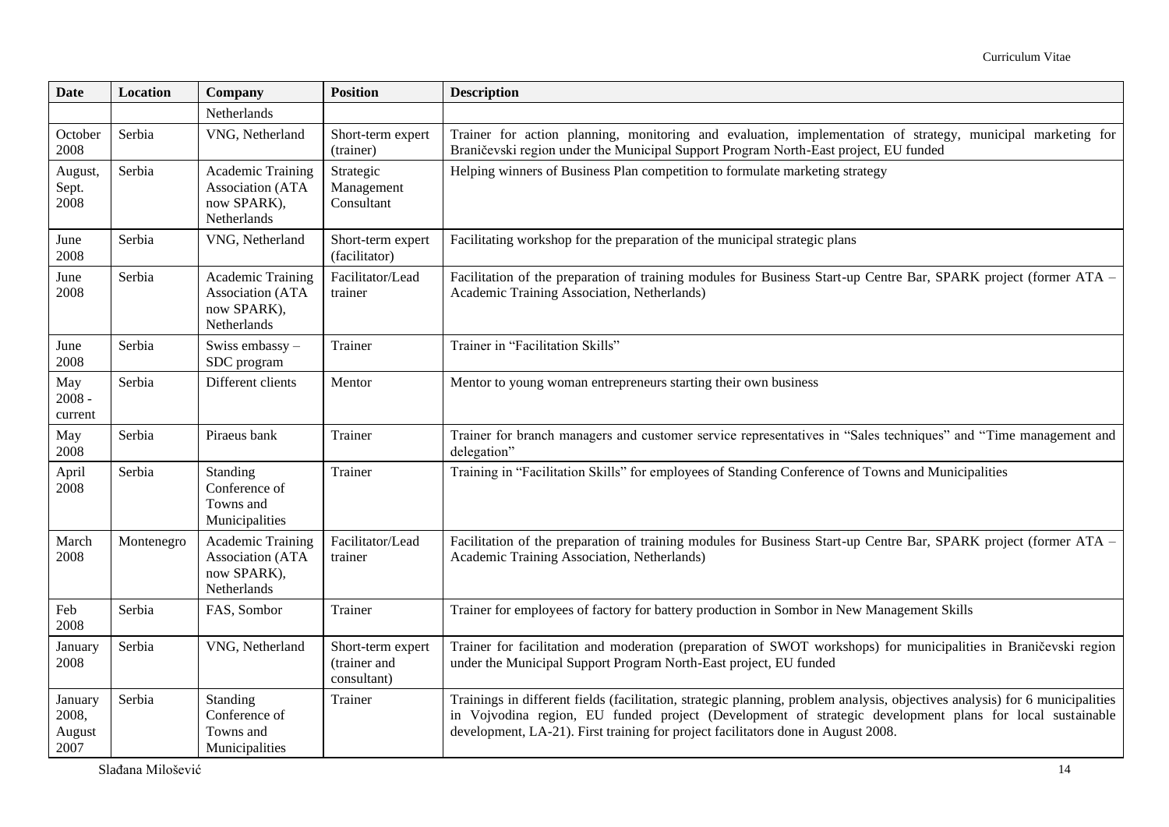| <b>Date</b>                        | <b>Location</b> | Company                                                                    | <b>Position</b>                                  | <b>Description</b>                                                                                                                                                                                                                                                                                                            |
|------------------------------------|-----------------|----------------------------------------------------------------------------|--------------------------------------------------|-------------------------------------------------------------------------------------------------------------------------------------------------------------------------------------------------------------------------------------------------------------------------------------------------------------------------------|
|                                    |                 | Netherlands                                                                |                                                  |                                                                                                                                                                                                                                                                                                                               |
| October<br>2008                    | Serbia          | VNG, Netherland                                                            | Short-term expert<br>(trainer)                   | Trainer for action planning, monitoring and evaluation, implementation of strategy, municipal marketing for<br>Braničevski region under the Municipal Support Program North-East project, EU funded                                                                                                                           |
| August,<br>Sept.<br>2008           | Serbia          | <b>Academic Training</b><br>Association (ATA<br>now SPARK),<br>Netherlands | Strategic<br>Management<br>Consultant            | Helping winners of Business Plan competition to formulate marketing strategy                                                                                                                                                                                                                                                  |
| June<br>2008                       | Serbia          | VNG, Netherland                                                            | Short-term expert<br>(facilitator)               | Facilitating workshop for the preparation of the municipal strategic plans                                                                                                                                                                                                                                                    |
| June<br>2008                       | Serbia          | <b>Academic Training</b><br>Association (ATA<br>now SPARK),<br>Netherlands | Facilitator/Lead<br>trainer                      | Facilitation of the preparation of training modules for Business Start-up Centre Bar, SPARK project (former ATA -<br>Academic Training Association, Netherlands)                                                                                                                                                              |
| June<br>2008                       | Serbia          | Swiss embassy -<br>SDC program                                             | Trainer                                          | Trainer in "Facilitation Skills"                                                                                                                                                                                                                                                                                              |
| May<br>$2008 -$<br>current         | Serbia          | Different clients                                                          | Mentor                                           | Mentor to young woman entrepreneurs starting their own business                                                                                                                                                                                                                                                               |
| May<br>2008                        | Serbia          | Piraeus bank                                                               | Trainer                                          | Trainer for branch managers and customer service representatives in "Sales techniques" and "Time management and<br>delegation"                                                                                                                                                                                                |
| April<br>2008                      | Serbia          | Standing<br>Conference of<br>Towns and<br>Municipalities                   | Trainer                                          | Training in "Facilitation Skills" for employees of Standing Conference of Towns and Municipalities                                                                                                                                                                                                                            |
| March<br>2008                      | Montenegro      | Academic Training<br>Association (ATA<br>now SPARK),<br>Netherlands        | Facilitator/Lead<br>trainer                      | Facilitation of the preparation of training modules for Business Start-up Centre Bar, SPARK project (former ATA -<br>Academic Training Association, Netherlands)                                                                                                                                                              |
| Feb<br>2008                        | Serbia          | FAS, Sombor                                                                | Trainer                                          | Trainer for employees of factory for battery production in Sombor in New Management Skills                                                                                                                                                                                                                                    |
| January<br>2008                    | Serbia          | VNG, Netherland                                                            | Short-term expert<br>(trainer and<br>consultant) | Trainer for facilitation and moderation (preparation of SWOT workshops) for municipalities in Braničevski region<br>under the Municipal Support Program North-East project, EU funded                                                                                                                                         |
| January<br>2008,<br>August<br>2007 | Serbia          | Standing<br>Conference of<br>Towns and<br>Municipalities                   | Trainer                                          | Trainings in different fields (facilitation, strategic planning, problem analysis, objectives analysis) for 6 municipalities<br>in Vojvodina region, EU funded project (Development of strategic development plans for local sustainable<br>development, LA-21). First training for project facilitators done in August 2008. |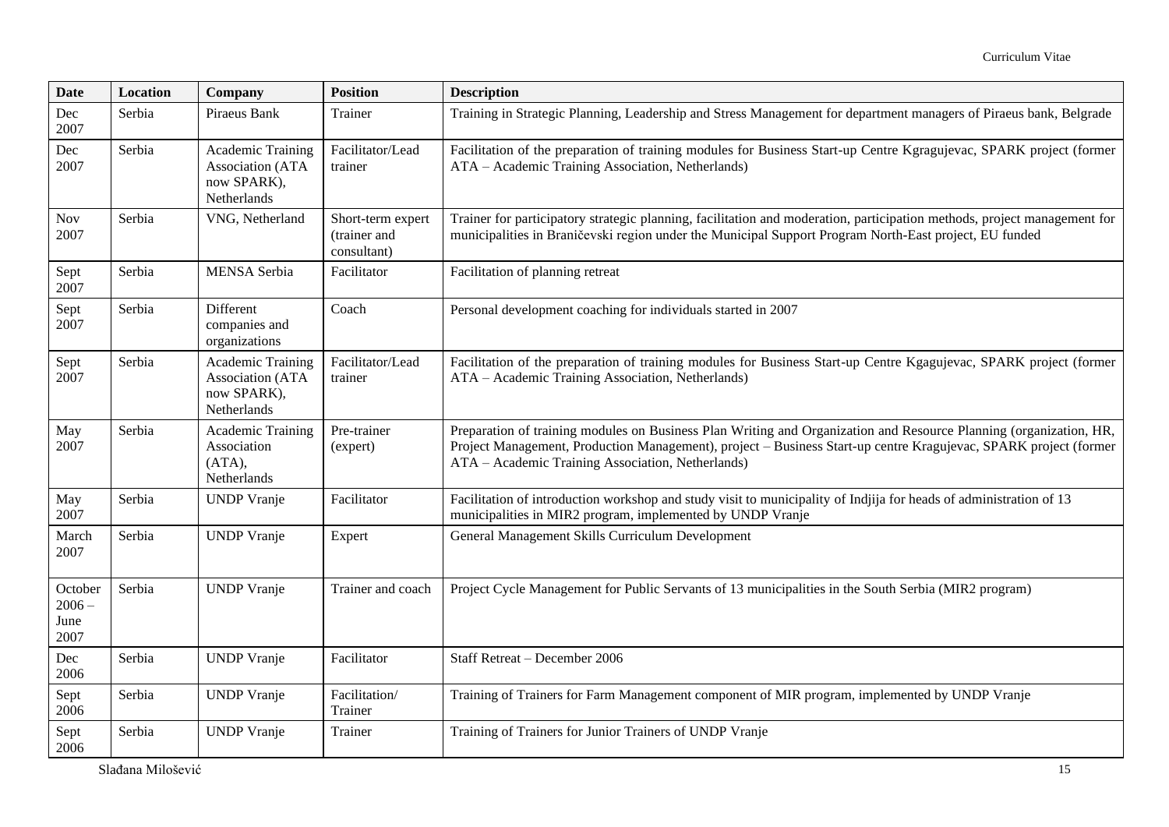| <b>Date</b>                         | <b>Location</b> | Company                                                             | <b>Position</b>                                  | <b>Description</b>                                                                                                                                                                                                                                                                          |
|-------------------------------------|-----------------|---------------------------------------------------------------------|--------------------------------------------------|---------------------------------------------------------------------------------------------------------------------------------------------------------------------------------------------------------------------------------------------------------------------------------------------|
| Dec<br>2007                         | Serbia          | Piraeus Bank                                                        | Trainer                                          | Training in Strategic Planning, Leadership and Stress Management for department managers of Piraeus bank, Belgrade                                                                                                                                                                          |
| Dec<br>2007                         | Serbia          | Academic Training<br>Association (ATA<br>now SPARK),<br>Netherlands | Facilitator/Lead<br>trainer                      | Facilitation of the preparation of training modules for Business Start-up Centre Kgragujevac, SPARK project (former<br>ATA – Academic Training Association, Netherlands)                                                                                                                    |
| Nov<br>2007                         | Serbia          | VNG, Netherland                                                     | Short-term expert<br>(trainer and<br>consultant) | Trainer for participatory strategic planning, facilitation and moderation, participation methods, project management for<br>municipalities in Braničevski region under the Municipal Support Program North-East project, EU funded                                                          |
| Sept<br>2007                        | Serbia          | MENSA Serbia                                                        | Facilitator                                      | Facilitation of planning retreat                                                                                                                                                                                                                                                            |
| Sept<br>2007                        | Serbia          | Different<br>companies and<br>organizations                         | Coach                                            | Personal development coaching for individuals started in 2007                                                                                                                                                                                                                               |
| Sept<br>2007                        | Serbia          | Academic Training<br>Association (ATA<br>now SPARK),<br>Netherlands | Facilitator/Lead<br>trainer                      | Facilitation of the preparation of training modules for Business Start-up Centre Kgagujevac, SPARK project (former<br>ATA - Academic Training Association, Netherlands)                                                                                                                     |
| May<br>2007                         | Serbia          | <b>Academic Training</b><br>Association<br>(ATA),<br>Netherlands    | Pre-trainer<br>(expert)                          | Preparation of training modules on Business Plan Writing and Organization and Resource Planning (organization, HR,<br>Project Management, Production Management), project – Business Start-up centre Kragujevac, SPARK project (former<br>ATA - Academic Training Association, Netherlands) |
| May<br>2007                         | Serbia          | <b>UNDP</b> Vranje                                                  | Facilitator                                      | Facilitation of introduction workshop and study visit to municipality of Indijia for heads of administration of 13<br>municipalities in MIR2 program, implemented by UNDP Vranje                                                                                                            |
| March<br>2007                       | Serbia          | <b>UNDP</b> Vranje                                                  | Expert                                           | General Management Skills Curriculum Development                                                                                                                                                                                                                                            |
| October<br>$2006 -$<br>June<br>2007 | Serbia          | <b>UNDP</b> Vranje                                                  | Trainer and coach                                | Project Cycle Management for Public Servants of 13 municipalities in the South Serbia (MIR2 program)                                                                                                                                                                                        |
| Dec<br>2006                         | Serbia          | <b>UNDP</b> Vranje                                                  | Facilitator                                      | Staff Retreat - December 2006                                                                                                                                                                                                                                                               |
| Sept<br>2006                        | Serbia          | <b>UNDP</b> Vranje                                                  | Facilitation/<br>Trainer                         | Training of Trainers for Farm Management component of MIR program, implemented by UNDP Vranje                                                                                                                                                                                               |
| Sept<br>2006                        | Serbia          | <b>UNDP</b> Vranje                                                  | Trainer                                          | Training of Trainers for Junior Trainers of UNDP Vranje                                                                                                                                                                                                                                     |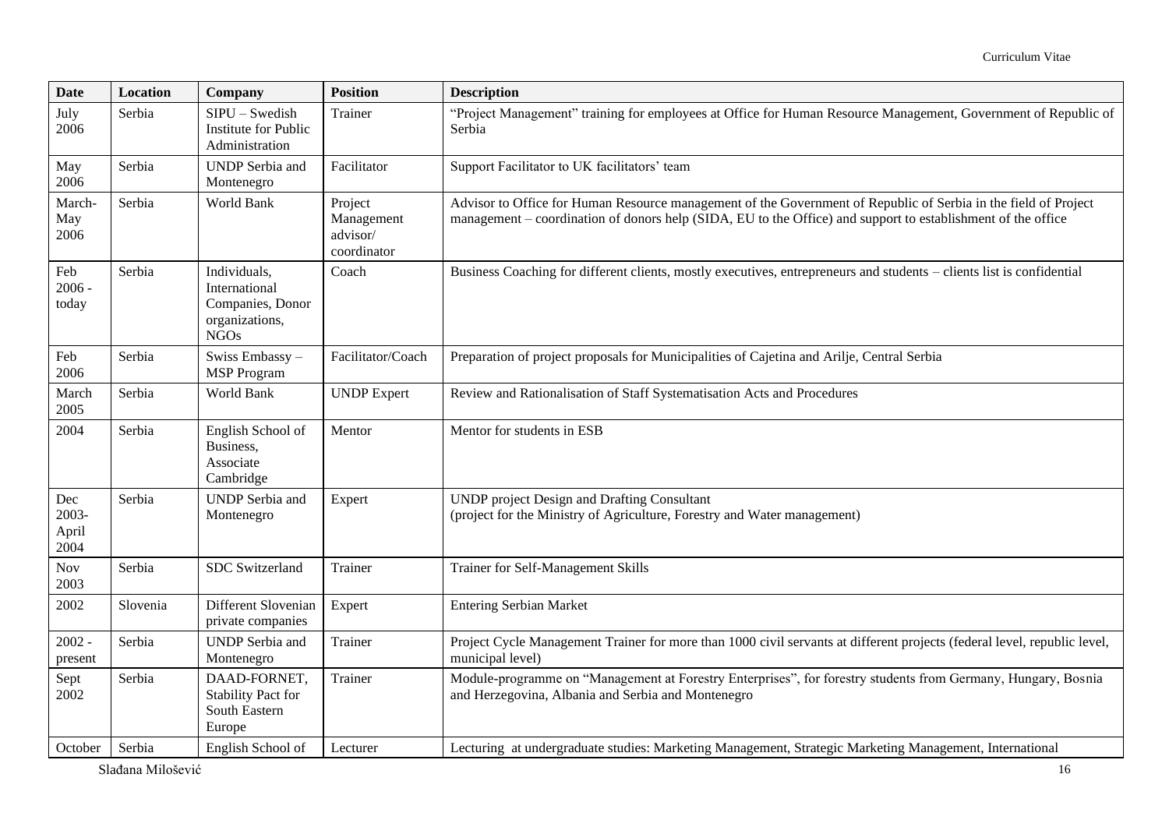| <b>Date</b>                   | <b>Location</b> | Company                                                                            | <b>Position</b>                                  | <b>Description</b>                                                                                                                                                                                                              |
|-------------------------------|-----------------|------------------------------------------------------------------------------------|--------------------------------------------------|---------------------------------------------------------------------------------------------------------------------------------------------------------------------------------------------------------------------------------|
| July<br>2006                  | Serbia          | $SIPU - Swedish$<br><b>Institute for Public</b><br>Administration                  | Trainer                                          | "Project Management" training for employees at Office for Human Resource Management, Government of Republic of<br>Serbia                                                                                                        |
| May<br>2006                   | Serbia          | <b>UNDP</b> Serbia and<br>Montenegro                                               | Facilitator                                      | Support Facilitator to UK facilitators' team                                                                                                                                                                                    |
| March-<br>May<br>2006         | Serbia          | World Bank                                                                         | Project<br>Management<br>advisor/<br>coordinator | Advisor to Office for Human Resource management of the Government of Republic of Serbia in the field of Project<br>management – coordination of donors help (SIDA, EU to the Office) and support to establishment of the office |
| Feb<br>$2006 -$<br>today      | Serbia          | Individuals,<br>International<br>Companies, Donor<br>organizations,<br><b>NGOs</b> | Coach                                            | Business Coaching for different clients, mostly executives, entrepreneurs and students – clients list is confidential                                                                                                           |
| Feb<br>2006                   | Serbia          | Swiss Embassy-<br><b>MSP</b> Program                                               | Facilitator/Coach                                | Preparation of project proposals for Municipalities of Cajetina and Arilje, Central Serbia                                                                                                                                      |
| March<br>2005                 | Serbia          | World Bank                                                                         | <b>UNDP</b> Expert                               | Review and Rationalisation of Staff Systematisation Acts and Procedures                                                                                                                                                         |
| 2004                          | Serbia          | English School of<br>Business,<br>Associate<br>Cambridge                           | Mentor                                           | Mentor for students in ESB                                                                                                                                                                                                      |
| Dec<br>2003-<br>April<br>2004 | Serbia          | <b>UNDP</b> Serbia and<br>Montenegro                                               | Expert                                           | UNDP project Design and Drafting Consultant<br>(project for the Ministry of Agriculture, Forestry and Water management)                                                                                                         |
| <b>Nov</b><br>2003            | Serbia          | <b>SDC</b> Switzerland                                                             | Trainer                                          | Trainer for Self-Management Skills                                                                                                                                                                                              |
| 2002                          | Slovenia        | Different Slovenian<br>private companies                                           | Expert                                           | <b>Entering Serbian Market</b>                                                                                                                                                                                                  |
| $2002 -$<br>present           | Serbia          | <b>UNDP</b> Serbia and<br>Montenegro                                               | Trainer                                          | Project Cycle Management Trainer for more than 1000 civil servants at different projects (federal level, republic level,<br>municipal level)                                                                                    |
| Sept<br>2002                  | Serbia          | DAAD-FORNET,<br><b>Stability Pact for</b><br>South Eastern<br>Europe               | Trainer                                          | Module-programme on "Management at Forestry Enterprises", for forestry students from Germany, Hungary, Bosnia<br>and Herzegovina, Albania and Serbia and Montenegro                                                             |
| October                       | Serbia          | English School of                                                                  | Lecturer                                         | Lecturing at undergraduate studies: Marketing Management, Strategic Marketing Management, International                                                                                                                         |